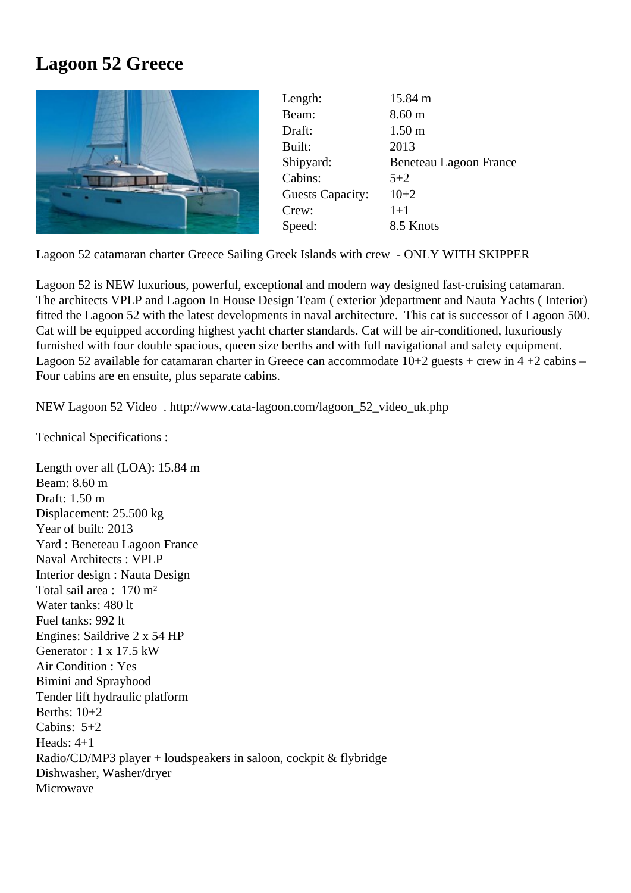## Lagoon 52 Greece

| Length:                 | 15.84 m                |
|-------------------------|------------------------|
| Beam:                   | 8.60 <sub>m</sub>      |
| Draft:                  | 1.50 <sub>m</sub>      |
| Built:                  | 2013                   |
| Shipyard:               | Beneteau Lagoon France |
| Cabins:                 | $5+2$                  |
| <b>Guests Capacity:</b> | $10+2$                 |
| Crew:                   | $1 + 1$                |
| Speed:                  | 8.5 Knots              |

Lagoon 52 catamaran charter Greece Sailing Greek Islands with crew - ONLY WITH SKIPPER

Lagoon 52 is NEW luxurious, powerful, exceptional and modern way designed fast-cruising catamaran. The architects VPLP and Lagoon In House Design Team ( exterior )department and Nauta Yachts ( Interior) fitted the Lagoon 52 with the latest developments in naval architecture. This cat is successor of Lagoon 500. Cat will be equipped according highest yacht charter standards. Cat will be air-conditioned, luxuriously furnished with four double spacious, queen size berths and with full navigational and safety equipment. Lagoon 52 available for catamaran charter in Greece can accommodate 10+2 guests + crew in 4 +2 cabins – Four cabins are en ensuite, plus separate cabins.

NEW Lagoon 52 Video http://www.cata-lagoon.com/lagoon\_52\_video\_uk.php

Technical Specifications :

Length over all (LOA): [15.84 m](http://www.cata-lagoon.com/lagoon_52_video_uk.php) Beam: 8.60 m Draft: 1.50 m Displacement: 25.500 kg Year of built: 2013 Yard : Beneteau Lagoon France Naval Architects : VPLP Interior design : Nauta Design Total sail area : 170 m² Water tanks: 480 lt Fuel tanks: 992 lt Engines: Saildrive 2 x 54 HP Generator : 1 x 17.5 kW Air Condition : Yes Bimini and Sprayhood Tender lift hydraulic platform Berths: 10+2 Cabins: 5+2 Heads: 4+1 Radio/CD/MP3 player + loudspeakers in saloon, cockpit & flybridge Dishwasher, Washer/dryer **Microwave**